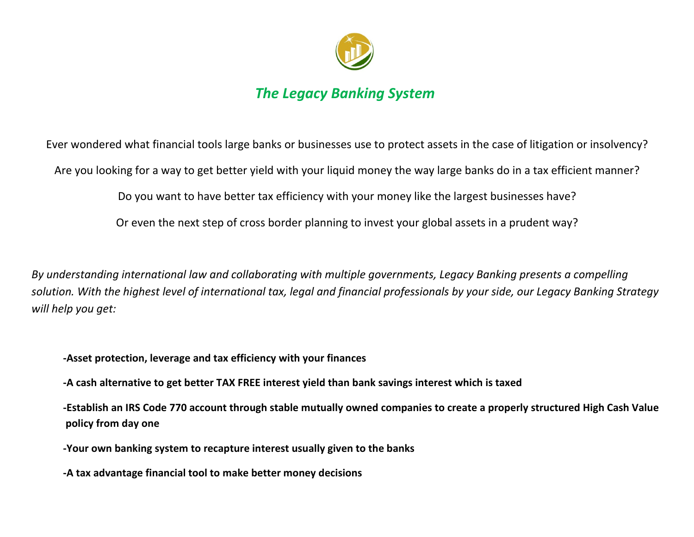

# *The Legacy Banking System*

Ever wondered what financial tools large banks or businesses use to protect assets in the case of litigation or insolvency?

Are you looking for a way to get better yield with your liquid money the way large banks do in a tax efficient manner?

Do you want to have better tax efficiency with your money like the largest businesses have?

Or even the next step of cross border planning to invest your global assets in a prudent way?

*By understanding international law and collaborating with multiple governments, Legacy Banking presents a compelling solution. With the highest level of international tax, legal and financial professionals by your side, our Legacy Banking Strategy will help you get:*

**-Asset protection, leverage and tax efficiency with your finances**

**-A cash alternative to get better TAX FREE interest yield than bank savings interest which is taxed**

**-Establish an IRS Code 770 account through stable mutually owned companies to create a properly structured High Cash Value policy from day one**

**-Your own banking system to recapture interest usually given to the banks**

**-A tax advantage financial tool to make better money decisions**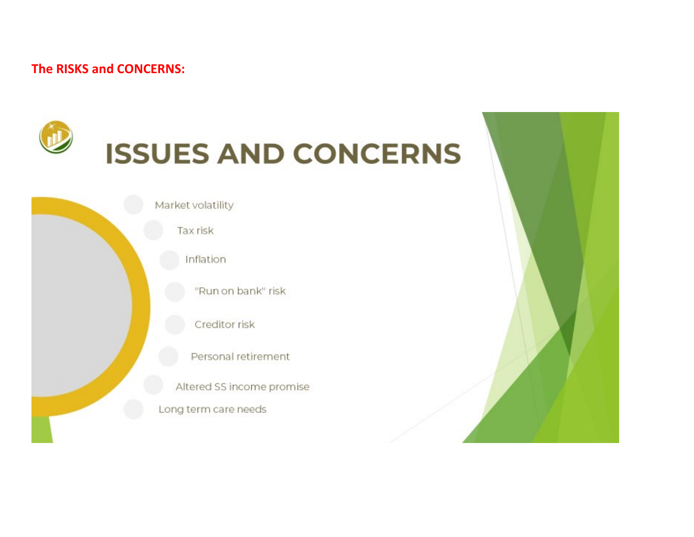## **The RISKS and CONCERNS:**



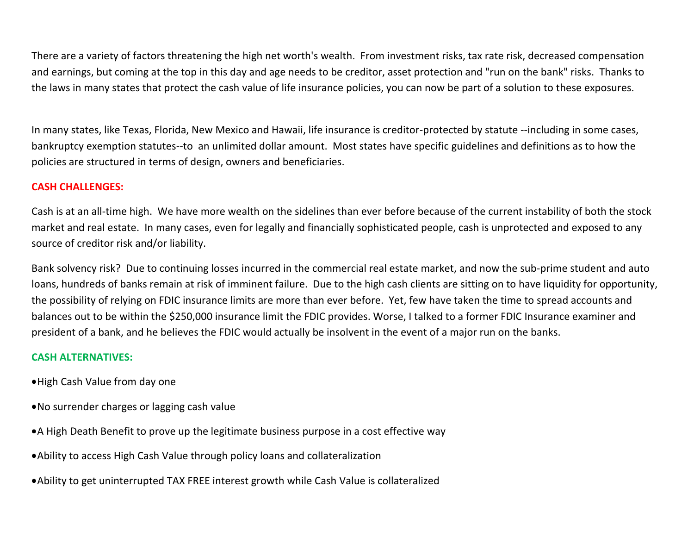There are a variety of factors threatening the high net worth's wealth. From investment risks, tax rate risk, decreased compensation and earnings, but coming at the top in this day and age needs to be creditor, asset protection and "run on the bank" risks. Thanks to the laws in many states that protect the cash value of life insurance policies, you can now be part of a solution to these exposures.

In many states, like Texas, Florida, New Mexico and Hawaii, life insurance is creditor-protected by statute --including in some cases, bankruptcy exemption statutes--to an unlimited dollar amount. Most states have specific guidelines and definitions as to how the policies are structured in terms of design, owners and beneficiaries.

## **CASH CHALLENGES:**

Cash is at an all-time high. We have more wealth on the sidelines than ever before because of the current instability of both the stock market and real estate. In many cases, even for legally and financially sophisticated people, cash is unprotected and exposed to any source of creditor risk and/or liability.

Bank solvency risk? Due to continuing losses incurred in the commercial real estate market, and now the sub-prime student and auto loans, hundreds of banks remain at risk of imminent failure. Due to the high cash clients are sitting on to have liquidity for opportunity, the possibility of relying on FDIC insurance limits are more than ever before. Yet, few have taken the time to spread accounts and balances out to be within the \$250,000 insurance limit the FDIC provides. Worse, I talked to a former FDIC Insurance examiner and president of a bank, and he believes the FDIC would actually be insolvent in the event of a major run on the banks.

## **CASH ALTERNATIVES:**

- •High Cash Value from day one
- •No surrender charges or lagging cash value
- •A High Death Benefit to prove up the legitimate business purpose in a cost effective way
- •Ability to access High Cash Value through policy loans and collateralization
- •Ability to get uninterrupted TAX FREE interest growth while Cash Value is collateralized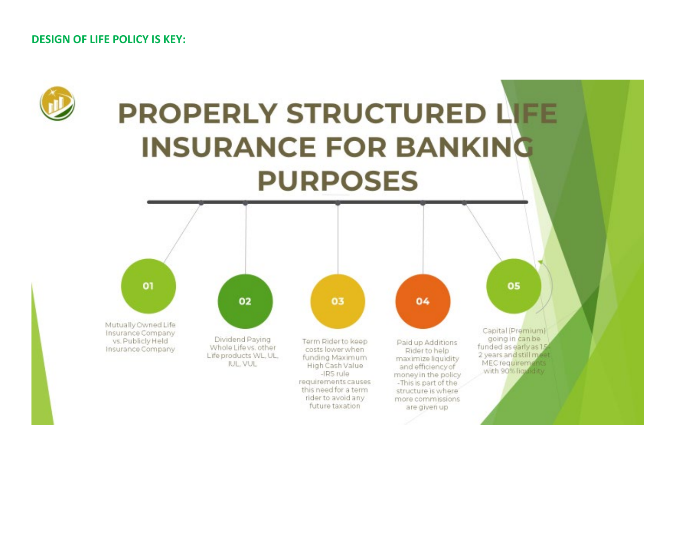## **DESIGN OF LIFE POLICY IS KEY:**

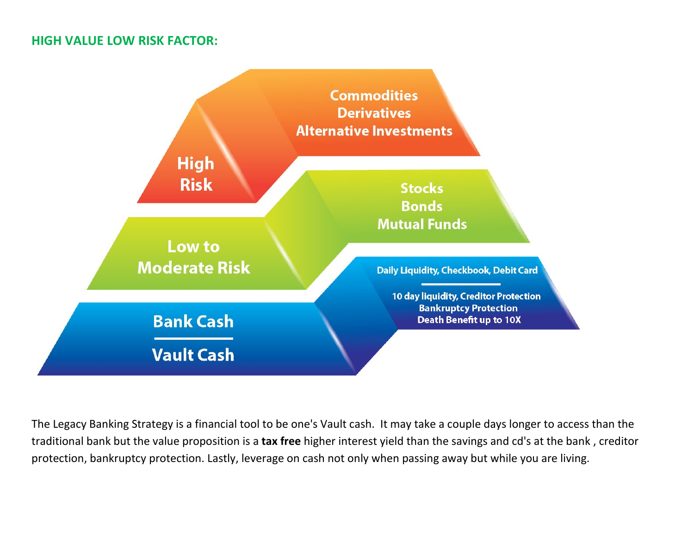## **HIGH VALUE LOW RISK FACTOR:**



The Legacy Banking Strategy is a financial tool to be one's Vault cash. It may take a couple days longer to access than the traditional bank but the value proposition is a **tax free** higher interest yield than the savings and cd's at the bank , creditor protection, bankruptcy protection. Lastly, leverage on cash not only when passing away but while you are living.